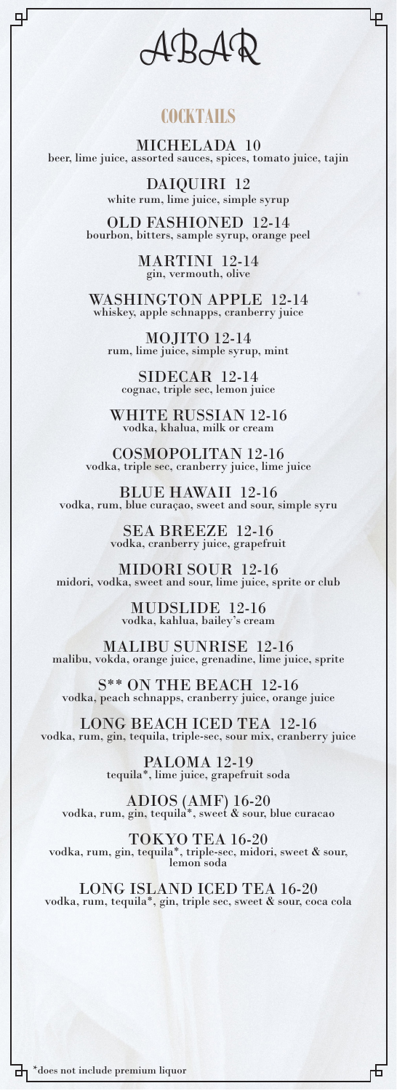ABAR

Ψ

டி

## **COCKTAILS**

MICHELADA 10 beer, lime juice, assorted sauces, spices, tomato juice, tajin

DAIQUIRI 12 white rum, lime juice, simple syrup

OLD FASHIONED 12-14 bourbon, bitters, sample syrup, orange peel

MARTINI 12-14 gin, vermouth, olive

WASHINGTON APPLE 12-14 whiskey, apple schnapps, cranberry juice

MOJITO 12-14 rum, lime juice, simple syrup, mint

SIDECAR 12-14 cognac, triple sec, lemon juice

WHITE RUSSIAN 12-16 vodka, khalua, milk or cream

COSMOPOLITAN 12-16 vodka, triple sec, cranberry juice, lime juice

BLUE HAWAII 12-16 vodka, rum, blue curaçao, sweet and sour, simple syru

SEA BREEZE 12-16 vodka, cranberry juice, grapefruit

MIDORI SOUR 12-16 midori, vodka, sweet and sour, lime juice, sprite or club

> MUDSLIDE 12-16 vodka, kahlua, bailey's cream

MALIBU SUNRISE 12-16 malibu, vokda, orange juice, grenadine, lime juice, sprite

S\*\* ON THE BEACH 12-16 vodka, peach schnapps, cranberry juice, orange juice

LONG BEACH ICED TEA 12-16 vodka, rum, gin, tequila, triple-sec, sour mix, cranberry juice

PALOMA 12-19 tequila\*, lime juice, grapefruit soda

ADIOS (AMF) 16-20 vodka, rum, gin, tequila\*, sweet & sour, blue curacao

TOKYO TEA 16-20 vodka, rum, gin, tequila\*, triple-sec, midori, sweet & sour,<br>lemon soda

LONG ISLAND ICED TEA 16-20 vodka, rum, tequila\*, gin, triple sec, sweet & sour, coca cola

币